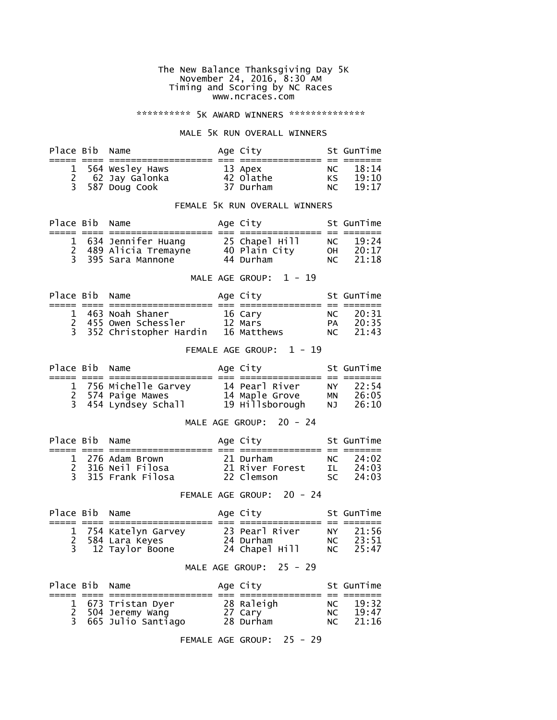#### The New Balance Thanksgiving Day 5K November 24, 2016, 8:30 AM Timing and Scoring by NC Races www.ncraces.com

#### \*\*\*\*\*\*\*\*\*\*\* 5K AWARD WINNERS \*\*\*\*\*\*\*\*\*\*\*\*\*\*\*

#### MALE 5K RUN OVERALL WINNERS

| Place Bib Name |                   | Age City             |     | St GunTime |
|----------------|-------------------|----------------------|-----|------------|
|                |                   |                      |     |            |
|                | 1 564 Wesley Haws | 13 Apex<br>42 Olathe |     | NC 18:14   |
|                | 62 Jay Galonka    |                      | KS. | 19:10      |
|                | 3 587 Doug Cook   | 37 Durham            | NC  | 19:17      |

## FEMALE 5K RUN OVERALL WINNERS

| Place Bib Name |                       | Age City       |     | St GunTime |
|----------------|-----------------------|----------------|-----|------------|
|                |                       |                |     |            |
|                | 1 634 Jennifer Huang  | 25 Chapel Hill | NC. | 19:24      |
|                | 2 489 Alicia Tremayne | 40 Plain City  | 0H  | 20:17      |
|                | 3 395 Sara Mannone    | 44 Durham      | NC  | 21:18      |

#### MALE AGE GROUP:  $1 - 19$

| Place Bib Name |                          | Age City    |    | St GunTime |
|----------------|--------------------------|-------------|----|------------|
|                |                          |             |    |            |
|                | 1 463 Noah Shaner        | 16 Cary     | NC | 20:31      |
|                | 2 455 Owen Schessler     | 12 Mars     | PA | 20:35      |
|                | 3 352 Christopher Hardin | 16 Matthews | NC | 21:43      |

## FEMALE AGE GROUP: 1 - 19

| Place Bib Name |                                           | Age City        |     | St GunTime |
|----------------|-------------------------------------------|-----------------|-----|------------|
|                |                                           |                 |     |            |
|                | 1 756 Michelle Garvey                     | 14 Pearl River  | NY. | 22:54      |
|                | 2 574 Paige Mawes<br>3 454 Lyndsey Schall | 14 Maple Grove  | MN  | 26:05      |
|                |                                           | 19 Hillsborough | NJ. | 26:10      |

#### MALE AGE GROUP: 20 - 24

|  |                                                                               |                                                        | St GunTime |
|--|-------------------------------------------------------------------------------|--------------------------------------------------------|------------|
|  |                                                                               |                                                        |            |
|  |                                                                               |                                                        | 24:02      |
|  |                                                                               |                                                        | 24:03      |
|  |                                                                               | SC.                                                    | 24:03      |
|  | Place Bib Name<br>1 276 Adam Brown<br>2 316 Neil Filosa<br>3 315 Frank Filosa | Age City<br>21 Durham<br>21 River Forest<br>22 Clemson | NC<br>TI.  |

#### FEMALE AGE GROUP: 20 - 24

| Place Bib Name |                      | Age City       |      | St GunTime |
|----------------|----------------------|----------------|------|------------|
|                |                      |                |      |            |
|                | 1 754 Katelyn Garvey | 23 Pearl River | NY 1 | 21:56      |
|                | 2 584 Lara Keyes     | 24 Durham      | NC   | 23:51      |
|                | 3 12 Taylor Boone    | 24 Chapel Hill | NC   | 25:47      |

#### MALE AGE GROUP: 25 - 29

| Place Bib Name |                                           | Age City   |     | St GunTime |
|----------------|-------------------------------------------|------------|-----|------------|
|                |                                           |            |     |            |
|                | 1 673 Tristan Dyer                        | 28 Raleigh | NC  | 19:32      |
|                | 2 504 Jeremy Wang<br>3 665 Julio Santiago | 27 Cary    | NC. | 19:47      |
|                |                                           | 28 Durham  | NC  | 21:16      |

FEMALE AGE GROUP: 25 - 29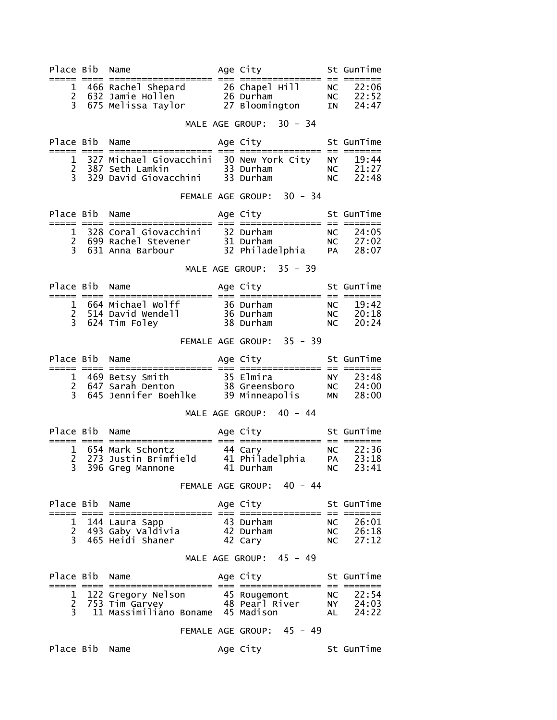| Place Bib               | Name                                                                                                                      | Age City                             |                 | St GunTime              |
|-------------------------|---------------------------------------------------------------------------------------------------------------------------|--------------------------------------|-----------------|-------------------------|
| 1                       | =================                                                                                                         | ============                         |                 | $== = ==$<br>22:06      |
| $\overline{2}$          | 466 Rachel Shepard        26 Chapel Hill<br>632 Jamie Hollen         26 Durham<br>675 Melissa Taylor       27 Bloomington |                                      | NC<br>NC        | 22:52                   |
| 3 <sup>7</sup>          |                                                                                                                           |                                      | IN              | 24:47                   |
|                         |                                                                                                                           | MALE AGE GROUP: 30 - 34              |                 |                         |
| Place Bib               | Name                                                                                                                      | Age City <b>Section</b>              |                 | St GunTime              |
|                         | 1 327 Michael Giovacchini 30 New York City                                                                                |                                      | NY N            | 19:44                   |
|                         |                                                                                                                           |                                      | NC              | 21:27                   |
|                         |                                                                                                                           |                                      | NC              | 22:48                   |
|                         |                                                                                                                           | FEMALE AGE GROUP: 30 - 34            |                 |                         |
| Place Bib               | Name                                                                                                                      | Age City                             |                 | St GunTime              |
|                         | 1 328 Coral Giovacchini 32 Durham                                                                                         |                                      |                 | NC 24:05                |
|                         | 2 699 Rachel Stevener<br>3 631 Anna Barbour 32 Philadelphia                                                               |                                      |                 | NC 27:02                |
|                         |                                                                                                                           |                                      | <b>PA</b>       | 28:07                   |
|                         |                                                                                                                           | MALE AGE GROUP: 35 - 39              |                 |                         |
| Place Bib Name          | ;==== ==== ==================== === ;                                                                                     | Age City<br>;======================= |                 | St GunTime              |
|                         | 1 664 Michael wolff<br>2 514 David Wendell 36 Durham<br>3 624 Tim Foley 38 Durham                                         |                                      | NC              | 19:42                   |
|                         |                                                                                                                           |                                      | NC<br>NC        | 20:18<br>20:24          |
|                         |                                                                                                                           |                                      |                 |                         |
|                         |                                                                                                                           | FEMALE AGE GROUP: 35 - 39            |                 |                         |
| Place Bib               | Name                                                                                                                      | Age City                             |                 | St GunTime              |
|                         |                                                                                                                           |                                      | NY 1            | 23:48                   |
|                         |                                                                                                                           |                                      | NC<br>MN        | 24:00<br>28:00          |
|                         |                                                                                                                           |                                      |                 |                         |
|                         |                                                                                                                           | MALE AGE GROUP: 40 - 44              |                 |                         |
| Place Bib               | Name                                                                                                                      | Age City                             |                 | St GunTime              |
|                         | 1 654 Mark Schontz 44 Cary                                                                                                |                                      | NC              | 22:36                   |
| 2<br>$\overline{3}$     | 273 Justin Brimfield      41 Philadelphia<br>396 Greg Mannone           41 Durham                                         |                                      | PA<br><b>NC</b> | 23:18<br>23:41          |
|                         |                                                                                                                           |                                      |                 |                         |
|                         |                                                                                                                           | FEMALE AGE GROUP: 40 - 44            |                 |                         |
| Place Bib<br>===== ==== | Name<br>============  ===  =:                                                                                             | Age City                             |                 | St GunTime<br>$==$ $==$ |
|                         | 1 144 Laura Sapp                                                                                                          | 43 Durham                            | NC              | 26:01                   |
| $\overline{c}$<br>3     | 493 Gaby Valdivia<br>465 Heidi Shaner                                                                                     | 42 Durham<br>42 Cary                 | NC<br>NC.       | 26:18<br>27:12          |
|                         |                                                                                                                           |                                      |                 |                         |
|                         |                                                                                                                           | MALE AGE GROUP: 45 - 49              |                 |                         |
| Place Bib               | Name                                                                                                                      | Age City                             |                 | St GunTime              |
| 1                       | 122 Gregory Nelson                                                                                                        | 45 Rougemont                         | NC              | 22:54                   |
| $\overline{2}$          | 753 Tim Garvey                                                                                                            | 48 Pearl River                       | NY 1            | 24:03                   |
| 3                       | 11 Massimiliano Boname 45 Madison                                                                                         |                                      | AL              | 24:22                   |
|                         |                                                                                                                           | FEMALE AGE GROUP: 45 - 49            |                 |                         |
| Place Bib               | Name                                                                                                                      | Age City                             |                 | St GunTime              |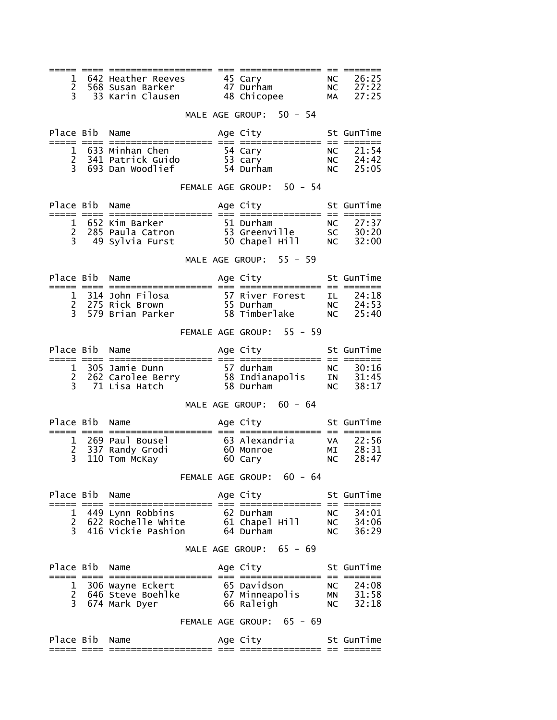| 1<br>2<br>3<br>27:25<br>MALE AGE GROUP: 50 - 54<br>Place Bib Name<br>Age City <b>Section</b><br>St GunTime<br>NC<br><b>NC</b><br><b>NC</b><br>FEMALE AGE GROUP: 50 - 54<br>Age City<br>Place Bib Name<br>St GunTime<br>MALE AGE GROUP: 55 - 59<br>Place Bib Name<br>Age City<br>St GunTime<br>$== = == ==$<br>FEMALE AGE GROUP: 55 - 59<br>Age City <b>Section</b><br>Place Bib<br>Name<br>St GunTime<br>cool abor conceledencelessed aar abordencelessed op cool<br>MALE AGE GROUP: 60 - 64<br>Age City<br>Place Bib Name<br>St GunTime<br>3<br>110 Tom McKay<br><b>NC</b><br>60 Carv<br>FEMALE AGE GROUP: 60 - 64<br>Place Bib Name<br>St GunTime<br>Age City<br>449 Lynn Robbins<br>1<br>62 Durnam<br>61 Chapel Hill<br>Cumbam<br>NC .<br>NC<br>$\overline{c}$<br>622 Rochelle White<br>3<br>416 Vickie Pashion<br>64 Durham<br>NC.<br>MALE AGE GROUP: 65 - 69<br>Place Bib<br>St GunTime<br>Age City<br>Name<br>306 Wayne Eckert<br>--<br>65 Davidson<br>67 Minneapolis<br>NC<br>1<br>$\overline{2}$<br>646 Steve Boehlke<br><b>MN</b><br>3<br>674 Mark Dyer<br>66 Raleigh<br><b>NC</b><br>FEMALE AGE GROUP: 65 - 69<br>Place Bib<br>Age City <b>Section</b><br>Name<br>St GunTime<br>:============ == ===== |  |  |  |                |
|------------------------------------------------------------------------------------------------------------------------------------------------------------------------------------------------------------------------------------------------------------------------------------------------------------------------------------------------------------------------------------------------------------------------------------------------------------------------------------------------------------------------------------------------------------------------------------------------------------------------------------------------------------------------------------------------------------------------------------------------------------------------------------------------------------------------------------------------------------------------------------------------------------------------------------------------------------------------------------------------------------------------------------------------------------------------------------------------------------------------------------------------------------------------------------------------------------------|--|--|--|----------------|
|                                                                                                                                                                                                                                                                                                                                                                                                                                                                                                                                                                                                                                                                                                                                                                                                                                                                                                                                                                                                                                                                                                                                                                                                                  |  |  |  | 26:25<br>27:22 |
|                                                                                                                                                                                                                                                                                                                                                                                                                                                                                                                                                                                                                                                                                                                                                                                                                                                                                                                                                                                                                                                                                                                                                                                                                  |  |  |  |                |
|                                                                                                                                                                                                                                                                                                                                                                                                                                                                                                                                                                                                                                                                                                                                                                                                                                                                                                                                                                                                                                                                                                                                                                                                                  |  |  |  |                |
|                                                                                                                                                                                                                                                                                                                                                                                                                                                                                                                                                                                                                                                                                                                                                                                                                                                                                                                                                                                                                                                                                                                                                                                                                  |  |  |  | 21:54<br>24:42 |
|                                                                                                                                                                                                                                                                                                                                                                                                                                                                                                                                                                                                                                                                                                                                                                                                                                                                                                                                                                                                                                                                                                                                                                                                                  |  |  |  | 25:05          |
|                                                                                                                                                                                                                                                                                                                                                                                                                                                                                                                                                                                                                                                                                                                                                                                                                                                                                                                                                                                                                                                                                                                                                                                                                  |  |  |  |                |
|                                                                                                                                                                                                                                                                                                                                                                                                                                                                                                                                                                                                                                                                                                                                                                                                                                                                                                                                                                                                                                                                                                                                                                                                                  |  |  |  |                |
|                                                                                                                                                                                                                                                                                                                                                                                                                                                                                                                                                                                                                                                                                                                                                                                                                                                                                                                                                                                                                                                                                                                                                                                                                  |  |  |  |                |
|                                                                                                                                                                                                                                                                                                                                                                                                                                                                                                                                                                                                                                                                                                                                                                                                                                                                                                                                                                                                                                                                                                                                                                                                                  |  |  |  |                |
|                                                                                                                                                                                                                                                                                                                                                                                                                                                                                                                                                                                                                                                                                                                                                                                                                                                                                                                                                                                                                                                                                                                                                                                                                  |  |  |  |                |
|                                                                                                                                                                                                                                                                                                                                                                                                                                                                                                                                                                                                                                                                                                                                                                                                                                                                                                                                                                                                                                                                                                                                                                                                                  |  |  |  |                |
|                                                                                                                                                                                                                                                                                                                                                                                                                                                                                                                                                                                                                                                                                                                                                                                                                                                                                                                                                                                                                                                                                                                                                                                                                  |  |  |  |                |
|                                                                                                                                                                                                                                                                                                                                                                                                                                                                                                                                                                                                                                                                                                                                                                                                                                                                                                                                                                                                                                                                                                                                                                                                                  |  |  |  |                |
|                                                                                                                                                                                                                                                                                                                                                                                                                                                                                                                                                                                                                                                                                                                                                                                                                                                                                                                                                                                                                                                                                                                                                                                                                  |  |  |  |                |
|                                                                                                                                                                                                                                                                                                                                                                                                                                                                                                                                                                                                                                                                                                                                                                                                                                                                                                                                                                                                                                                                                                                                                                                                                  |  |  |  |                |
|                                                                                                                                                                                                                                                                                                                                                                                                                                                                                                                                                                                                                                                                                                                                                                                                                                                                                                                                                                                                                                                                                                                                                                                                                  |  |  |  | 30:16          |
|                                                                                                                                                                                                                                                                                                                                                                                                                                                                                                                                                                                                                                                                                                                                                                                                                                                                                                                                                                                                                                                                                                                                                                                                                  |  |  |  | 31:45<br>38:17 |
|                                                                                                                                                                                                                                                                                                                                                                                                                                                                                                                                                                                                                                                                                                                                                                                                                                                                                                                                                                                                                                                                                                                                                                                                                  |  |  |  |                |
|                                                                                                                                                                                                                                                                                                                                                                                                                                                                                                                                                                                                                                                                                                                                                                                                                                                                                                                                                                                                                                                                                                                                                                                                                  |  |  |  |                |
|                                                                                                                                                                                                                                                                                                                                                                                                                                                                                                                                                                                                                                                                                                                                                                                                                                                                                                                                                                                                                                                                                                                                                                                                                  |  |  |  | 22:56          |
|                                                                                                                                                                                                                                                                                                                                                                                                                                                                                                                                                                                                                                                                                                                                                                                                                                                                                                                                                                                                                                                                                                                                                                                                                  |  |  |  | 28:31<br>28:47 |
|                                                                                                                                                                                                                                                                                                                                                                                                                                                                                                                                                                                                                                                                                                                                                                                                                                                                                                                                                                                                                                                                                                                                                                                                                  |  |  |  |                |
|                                                                                                                                                                                                                                                                                                                                                                                                                                                                                                                                                                                                                                                                                                                                                                                                                                                                                                                                                                                                                                                                                                                                                                                                                  |  |  |  |                |
|                                                                                                                                                                                                                                                                                                                                                                                                                                                                                                                                                                                                                                                                                                                                                                                                                                                                                                                                                                                                                                                                                                                                                                                                                  |  |  |  | 34:01          |
|                                                                                                                                                                                                                                                                                                                                                                                                                                                                                                                                                                                                                                                                                                                                                                                                                                                                                                                                                                                                                                                                                                                                                                                                                  |  |  |  | 34:06<br>36:29 |
|                                                                                                                                                                                                                                                                                                                                                                                                                                                                                                                                                                                                                                                                                                                                                                                                                                                                                                                                                                                                                                                                                                                                                                                                                  |  |  |  |                |
|                                                                                                                                                                                                                                                                                                                                                                                                                                                                                                                                                                                                                                                                                                                                                                                                                                                                                                                                                                                                                                                                                                                                                                                                                  |  |  |  |                |
|                                                                                                                                                                                                                                                                                                                                                                                                                                                                                                                                                                                                                                                                                                                                                                                                                                                                                                                                                                                                                                                                                                                                                                                                                  |  |  |  | 24:08          |
|                                                                                                                                                                                                                                                                                                                                                                                                                                                                                                                                                                                                                                                                                                                                                                                                                                                                                                                                                                                                                                                                                                                                                                                                                  |  |  |  | 31:58<br>32:18 |
|                                                                                                                                                                                                                                                                                                                                                                                                                                                                                                                                                                                                                                                                                                                                                                                                                                                                                                                                                                                                                                                                                                                                                                                                                  |  |  |  |                |
|                                                                                                                                                                                                                                                                                                                                                                                                                                                                                                                                                                                                                                                                                                                                                                                                                                                                                                                                                                                                                                                                                                                                                                                                                  |  |  |  |                |